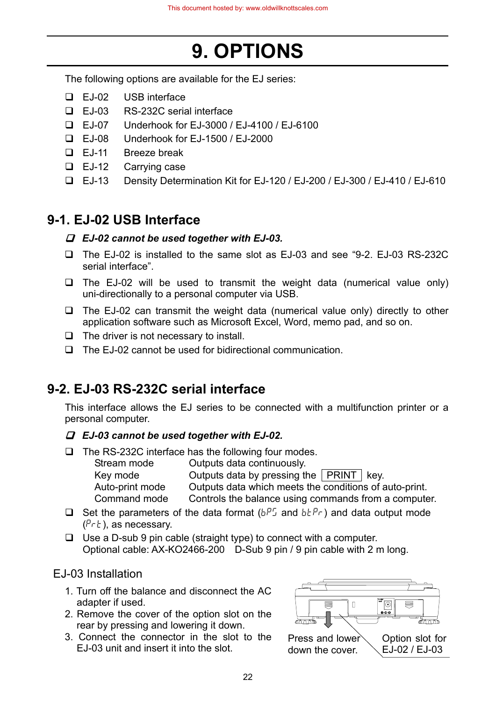# **9. OPTIONS**

The following options are available for the EJ series:

- EJ-02 USB interface
- EJ-03 RS-232C serial interface
- EJ-07 Underhook for EJ-3000 / EJ-4100 / EJ-6100
- EJ-08 Underhook for EJ-1500 / EJ-2000
- EJ-11 Breeze break
- **E**J-12 Carrying case
- EJ-13 Density Determination Kit for EJ-120 / EJ-200 / EJ-300 / EJ-410 / EJ-610

# **9-1. EJ-02 USB Interface**

### *EJ-02 cannot be used together with EJ-03.*

- The EJ-02 is installed to the same slot as EJ-03 and see "9-2. EJ-03 RS-232C serial interface".
- $\Box$  The EJ-02 will be used to transmit the weight data (numerical value only) uni-directionally to a personal computer via USB.
- $\Box$  The EJ-02 can transmit the weight data (numerical value only) directly to other application software such as Microsoft Excel, Word, memo pad, and so on.
- $\Box$  The driver is not necessary to install.
- $\Box$  The EJ-02 cannot be used for bidirectional communication.

# **9-2. EJ-03 RS-232C serial interface**

This interface allows the EJ series to be connected with a multifunction printer or a personal computer.

### *EJ-03 cannot be used together with EJ-02.*

 $\Box$  The RS-232C interface has the following four modes.

| Stream mode     | Outputs data continuously.                             |
|-----------------|--------------------------------------------------------|
| Key mode        | Outputs data by pressing the   PRINT   key.            |
| Auto-print mode | Outputs data which meets the conditions of auto-print. |
| Command mode    | Controls the balance using commands from a computer.   |

- $\Box$  Set the parameters of the data format ( $b^{p}$  and  $b^{p}$  and data output mode  $(Pr t)$ , as necessary.
- $\Box$  Use a D-sub 9 pin cable (straight type) to connect with a computer. Optional cable: AX-KO2466-200 D-Sub 9 pin / 9 pin cable with 2 m long.

## EJ-03 Installation

- 1. Turn off the balance and disconnect the AC adapter if used.
- 2. Remove the cover of the option slot on the rear by pressing and lowering it down.
- 3. Connect the connector in the slot to the EJ-03 unit and insert it into the slot.

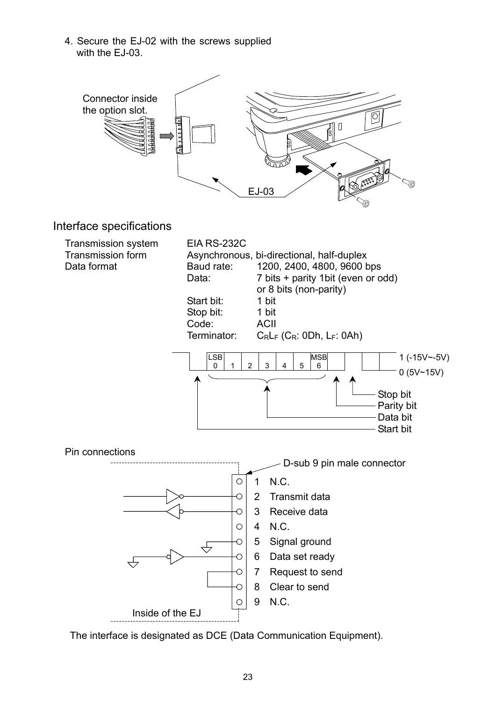4. Secure the EJ-02 with the screws supplied with the EJ-03.



The interface is designated as DCE (Data Communication Equipment).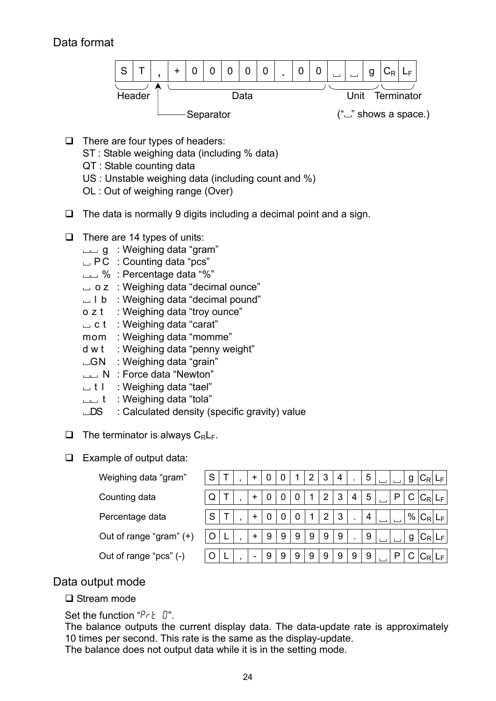## Data format



- $\Box$  There are four types of headers:
	- ST : Stable weighing data (including % data)
	- QT : Stable counting data
	- US : Unstable weighing data (including count and %)
	- OL : Out of weighing range (Over)
- $\Box$  The data is normally 9 digits including a decimal point and a sign.
- $\Box$  There are 14 types of units:
	- g : Weighing data "gram"
	- $\Box$  PC : Counting data "pcs"
	- $\Box$  % : Percentage data "%"
	- o z : Weighing data "decimal ounce"
	- $\Box$  l b : Weighing data "decimal pound"
	- o z t : Weighing data "troy ounce"
	- $\Box$  c t : Weighing data "carat"
	- mom : Weighing data "momme"
	- d w t : Weighing data "penny weight"
	- $\Box$ GN : Weighing data "grain"
	- N : Force data "Newton"
	- $\Box$  t l : Weighing data "tael"
	- $\Box$  t : Weighing data "tola"
	- $\Box$ DS : Calculated density (specific gravity) value
- $\Box$  The terminator is always  $C_R L_F$ .
- $\Box$  Example of output data:

| Weighing data "gram"    |  |  |           | 0 | 0 |   | 2 | 3 | 4 | ٠. | 5 |  | g |  |
|-------------------------|--|--|-----------|---|---|---|---|---|---|----|---|--|---|--|
| Counting data           |  |  |           |   |   |   |   | 2 | 3 | 4  | 5 |  |   |  |
| Percentage data         |  |  |           |   |   |   |   |   | 3 |    | 4 |  |   |  |
| Out of range "gram" (+) |  |  | $\ddot{}$ | 9 | 9 | 9 | 9 | 9 | 9 |    | 9 |  | g |  |
| Out of range "pcs" (-)  |  |  | -         | 9 | 9 | 9 | 9 | 9 | 9 | 9  | 9 |  |   |  |

### Data output mode

#### □ Stream mode

Set the function " $P$ r  $E$   $T$ ".

The balance outputs the current display data. The data-update rate is approximately 10 times per second. This rate is the same as the display-update.

The balance does not output data while it is in the setting mode.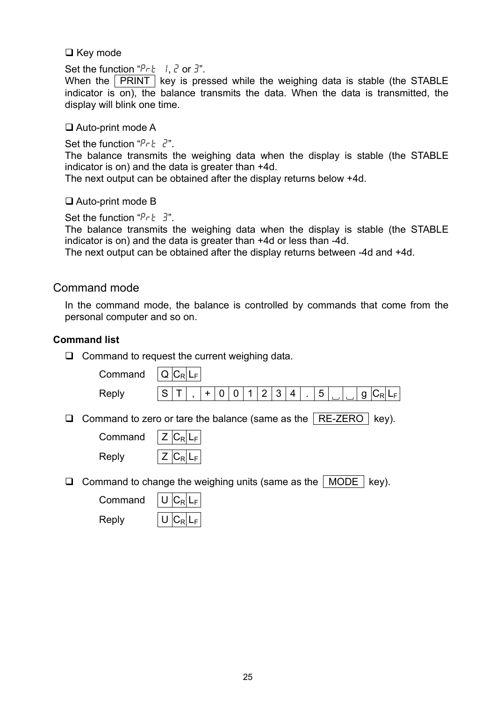#### $\Box$  Key mode

Set the function " $P\nvdash l$ ,  $\vec{c}$  or  $\vec{3}$ ".

When the  $\sqrt{PRINT}$  key is pressed while the weighing data is stable (the STABLE indicator is on), the balance transmits the data. When the data is transmitted, the display will blink one time.

#### □ Auto-print mode A

Set the function " $PrE$  2".

The balance transmits the weighing data when the display is stable (the STABLE indicator is on) and the data is greater than +4d.

The next output can be obtained after the display returns below +4d.

#### □ Auto-print mode B

Set the function " $P - E = 3$ ".

The balance transmits the weighing data when the display is stable (the STABLE indicator is on) and the data is greater than +4d or less than -4d.

The next output can be obtained after the display returns between -4d and +4d.

#### Command mode

In the command mode, the balance is controlled by commands that come from the personal computer and so on.

#### **Command list**

 $\Box$  Command to request the current weighing data.

|    | Command | $Q C_R L_F$                                                                  |
|----|---------|------------------------------------------------------------------------------|
|    | Reply   | $\overline{2}$<br>3<br>5<br>S<br>0<br>4<br>0<br>$ C_R L_F$<br>$\ddot{}$<br>g |
| u. |         | Command to zero or tare the balance (same as the $ $ RE-ZERO<br>key).        |
|    | Command | $Z C_R L_F$                                                                  |
|    | Reply   | $Z C_R L_F$                                                                  |
| ⊔  |         | Command to change the weighing units (same as the   MODE  <br>key).          |
|    | Command | $C_R L_F $                                                                   |
|    | Reply   | <b>URI</b>                                                                   |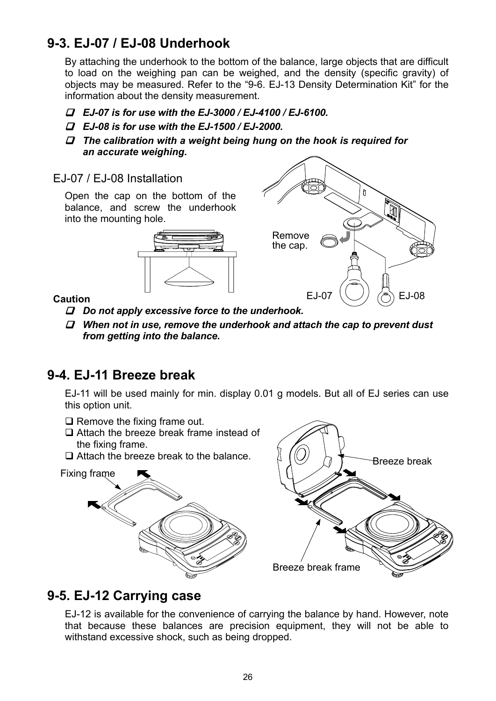# **9-3. EJ-07 / EJ-08 Underhook**

By attaching the underhook to the bottom of the balance, large objects that are difficult to load on the weighing pan can be weighed, and the density (specific gravity) of objects may be measured. Refer to the "9-6. EJ-13 Density Determination Kit" for the information about the density measurement.

- *EJ-07 is for use with the EJ-3000 / EJ-4100 / EJ-6100.*
- *EJ-08 is for use with the EJ-1500 / EJ-2000.*
- *The calibration with a weight being hung on the hook is required for an accurate weighing.*
- EJ-07 / EJ-08 Installation

Open the cap on the bottom of the balance, and screw the underhook into the mounting hole.





### **Caution**

- *Do not apply excessive force to the underhook.*
- *When not in use, remove the underhook and attach the cap to prevent dust from getting into the balance.*

# **9-4. EJ-11 Breeze break**

EJ-11 will be used mainly for min. display 0.01 g models. But all of EJ series can use this option unit.

- $\Box$  Remove the fixing frame out.
- □ Attach the breeze break frame instead of the fixing frame.
- $\Box$  Attach the breeze break to the balance.





# **9-5. EJ-12 Carrying case**

EJ-12 is available for the convenience of carrying the balance by hand. However, note that because these balances are precision equipment, they will not be able to withstand excessive shock, such as being dropped.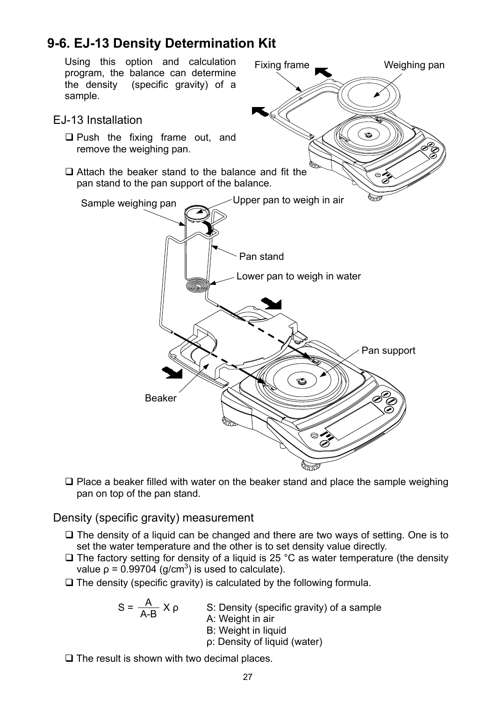# **9-6. EJ-13 Density Determination Kit**



 $\square$  Place a beaker filled with water on the beaker stand and place the sample weighing pan on top of the pan stand.

### Density (specific gravity) measurement

- $\Box$  The density of a liquid can be changed and there are two ways of setting. One is to set the water temperature and the other is to set density value directly.
- $\Box$  The factory setting for density of a liquid is 25 °C as water temperature (the density value  $p = 0.99704$  (g/cm<sup>3</sup>) is used to calculate).
- $\Box$  The density (specific gravity) is calculated by the following formula.

S: Density (specific gravity) of a sample A: Weight in air B: Weight in liquid A A-B

- ρ: Density of liquid (water)
- $\Box$  The result is shown with two decimal places.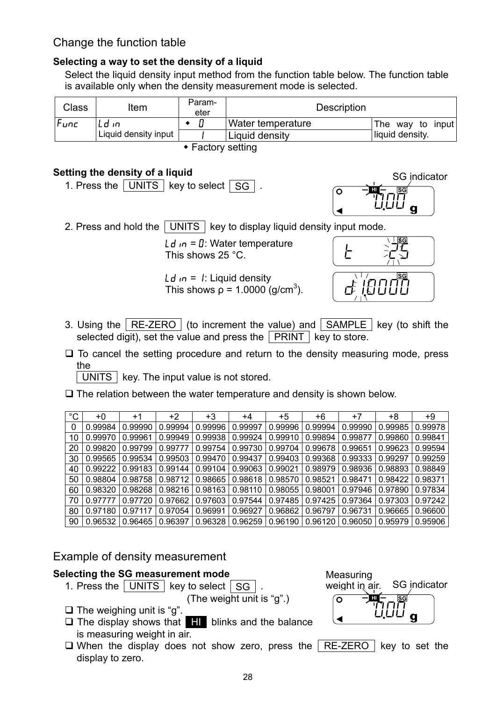## Change the function table

### **Selecting a way to set the density of a liquid**

Select the liquid density input method from the function table below. The function table is available only when the density measurement mode is selected.

| Class | Item                        | Param-<br>eter | <b>Description</b> |                  |  |  |  |  |  |  |  |  |
|-------|-----------------------------|----------------|--------------------|------------------|--|--|--|--|--|--|--|--|
| Func  | l d'in                      |                | Water temperature  | The way to input |  |  |  |  |  |  |  |  |
|       | Liquid density input        |                | Liquid density     | liquid density.  |  |  |  |  |  |  |  |  |
|       | $\triangle$ Eastany satting |                |                    |                  |  |  |  |  |  |  |  |  |

 $\bullet$  Factory setting

### **Setting the density of a liquid**

1. Press the  $\vert$  UNITS  $\vert$  key to select  $\vert$  SG  $\vert$ 



2. Press and hold the  $\vert$  UNITS  $\vert$  key to display liquid density input mode.

Ld  $\mathsf{d}$  = 0: Water temperature This shows 25 °C.

Ld  $in = 1$ : Liquid density This shows  $\rho = 1.0000$  (g/cm<sup>3</sup>).



- 3. Using the  $\vert$  RE-ZERO  $\vert$  (to increment the value) and  $\vert$  SAMPLE  $\vert$  key (to shift the selected digit), set the value and press the  $\sqrt{PRINT}$  key to store.
- $\Box$  To cancel the setting procedure and return to the density measuring mode, press the

 $\vert$  UNITS  $\vert$  key. The input value is not stored.

 $\square$  The relation between the water temperature and density is shown below.

| $^{\circ}C$ | +0      | $+1$    | +2      | $+3$    | +4      | $+5$    | +6      | +7      | +8      | +9      |
|-------------|---------|---------|---------|---------|---------|---------|---------|---------|---------|---------|
|             | 0.99984 | 0.99990 | 0.99994 | 0.99996 | 0.99997 | 0.99996 | 0.99994 | 0.99990 | 0.99985 | 0.99978 |
| 10          | 0.99970 | 0.99961 | 0.99949 | 0.99938 | 0.99924 | 0.99910 | 0.99894 | 0.99877 | 0.99860 | 0.99841 |
| 20          | 0.99820 | 0.99799 | 0.99777 | 0.99754 | 0.99730 | 0.99704 | 0.99678 | 0.99651 | 0.99623 | 0.99594 |
| 30          | 0.99565 | 0.99534 | 0.99503 | 0.99470 | 0.99437 | 0.99403 | 0.99368 | 0.99333 | 0.99297 | 0.99259 |
| 40          | 0.99222 | 0.99183 | 0.99144 | 0.99104 | 0.99063 | 0.99021 | 0.98979 | 0.98936 | 0.98893 | 0.98849 |
| 50          | 0.98804 | 0.98758 | 0.98712 | 0.98665 | 0.98618 | 0.98570 | 0.98521 | 0.98471 | 0.98422 | 0.98371 |
| 60          | 0.98320 | 0.98268 | 0.98216 | 0.98163 | 0.98110 | 0.98055 | 0.98001 | 0.97946 | 0.97890 | 0.97834 |
| 70          | 0.97777 | 0.97720 | 0.97662 | 0.97603 | 0.97544 | 0.97485 | 0.97425 | 0.97364 | 0.97303 | 0.97242 |
| 80          | 0.97180 | 0.97117 | 0.97054 | 0.96991 | 0.96927 | 0.96862 | 0.96797 | 0.96731 | 0.96665 | 0.96600 |
| 90          | 0.96532 | 0.96465 | 0.96397 | 0.96328 | 0.96259 | 0.96190 | 0.96120 | 0.96050 | 0.95979 | 0.95906 |

### Example of density measurement

### **Selecting the SG measurement mode**

1. Press the  $\boxed{\overline{\text{UNITS}}}$  key to select  $\boxed{\text{SG}}$  .

(The weight unit is "g".)

- $\Box$  The weighing unit is "q".
- $\Box$  The display shows that  $\Box$  blinks and the balance is measuring weight in air.
- $\Box$  When the display does not show zero, press the RE-ZERO key to set the display to zero.



<u>28 and 28 and 28 and 28 and 28 and 28 and 28 and 28 and 28 and 28 and 28 and 28 and 28 and 28 and 28 and 28 and 28 and 28 and 28 and 28 and 28 and 28 and 28 and 28 and 28 and 28 and 28 and 28 and 28 and 28 and 28 and 28 a</u>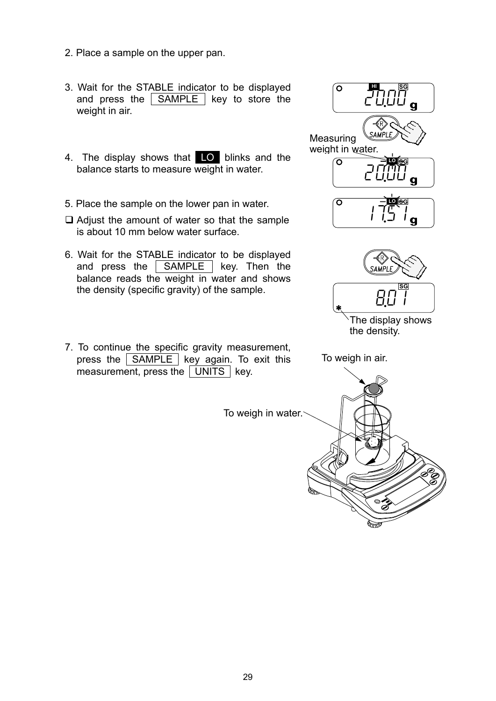- 2. Place a sample on the upper pan.
- 3. Wait for the STABLE indicator to be displayed and press the  $\sqrt{\text{SAMPLE}}$  key to store the weight in air.
- 4. The display shows that LO blinks and the balance starts to measure weight in water.
- 5. Place the sample on the lower pan in water.
- $\Box$  Adjust the amount of water so that the sample is about 10 mm below water surface.
- 6. Wait for the STABLE indicator to be displayed and press the **SAMPLE** key. Then the balance reads the weight in water and shows the density (specific gravity) of the sample.
- 7. To continue the specific gravity measurement, press the  $\vert$  SAMPLE  $\vert$  key again. To exit this measurement, press the  $\boxed{\overline{\text{UNITS}}}$  key.

 $\sim$  20.00  $_{\rm g}$ **HI SG**  $\overline{C}$   $\overline{C}$   $\overline{C}$   $\overline{C}$   $\overline{C}$   $\overline{C}$   $\overline{C}$   $\overline{C}$   $\overline{C}$   $\overline{C}$   $\overline{C}$   $\overline{C}$   $\overline{C}$   $\overline{C}$   $\overline{C}$   $\overline{C}$   $\overline{C}$   $\overline{C}$   $\overline{C}$   $\overline{C}$   $\overline{C}$   $\overline{C}$   $\overline{C}$   $\overline{C}$   $\overline{$ **LO SG Measuring** weight in water.  $\sqrt{51}$ **LO SG**



The display shows the density.

To weigh in air.